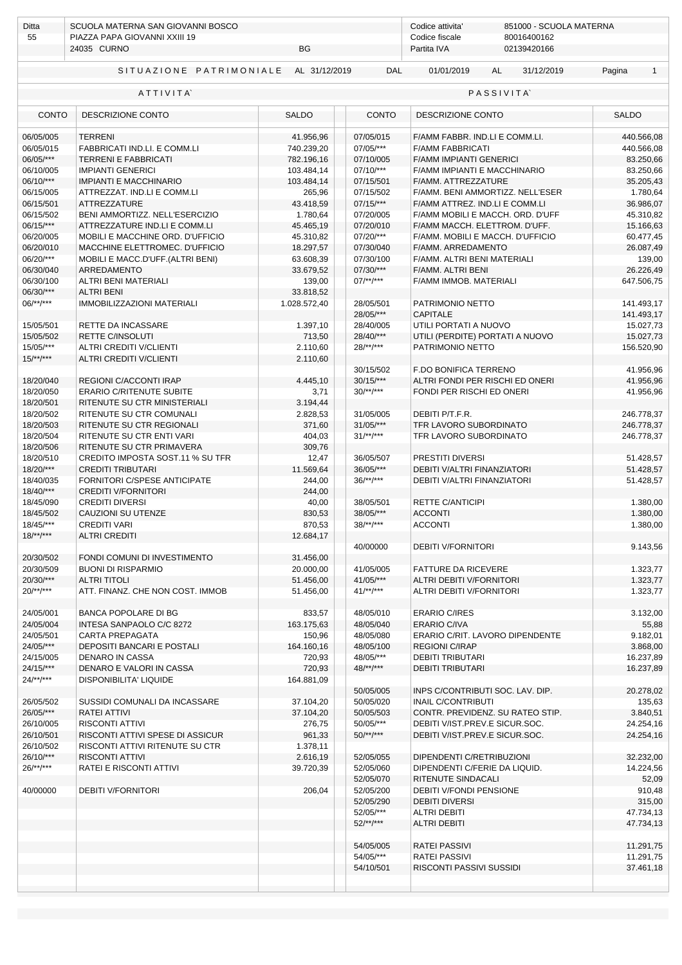| Ditta                    | SCUOLA MATERNA SAN GIOVANNI BOSCO                         |                                                             | Codice attivita'<br>851000 - SCUOLA MATERNA |                                                  |                        |  |  |
|--------------------------|-----------------------------------------------------------|-------------------------------------------------------------|---------------------------------------------|--------------------------------------------------|------------------------|--|--|
| 55                       | PIAZZA PAPA GIOVANNI XXIII 19<br>24035 CURNO              | 80016400162<br>Codice fiscale<br>02139420166<br>Partita IVA |                                             |                                                  |                        |  |  |
|                          |                                                           | <b>BG</b>                                                   |                                             |                                                  |                        |  |  |
|                          | SITUAZIONE PATRIMONIALE                                   | AL 31/12/2019                                               | <b>DAL</b>                                  | 01/01/2019<br>31/12/2019<br><b>AL</b>            | Pagina<br>$\mathbf{1}$ |  |  |
|                          | ATTIVITA                                                  |                                                             |                                             | <b>PASSIVITA</b>                                 |                        |  |  |
| <b>CONTO</b>             | DESCRIZIONE CONTO                                         | <b>SALDO</b>                                                | <b>CONTO</b><br>DESCRIZIONE CONTO           |                                                  | <b>SALDO</b>           |  |  |
| 06/05/005                | <b>TERRENI</b>                                            | 41.956,96                                                   | 07/05/015                                   | F/AMM FABBR. IND.LI E COMM.LI.                   | 440.566,08             |  |  |
| 06/05/015                | FABBRICATI IND.LI. E COMM.LI                              | 740.239,20                                                  | 07/05/***                                   | <b>F/AMM FABBRICATI</b>                          | 440.566,08             |  |  |
| 06/05/***                | <b>TERRENI E FABBRICATI</b>                               | 782.196,16                                                  | 07/10/005                                   | <b>F/AMM IMPIANTI GENERICI</b>                   | 83.250,66              |  |  |
| 06/10/005                | <b>IMPIANTI GENERICI</b>                                  | 103.484,14                                                  | $07/10$ /***                                | F/AMM IMPIANTI E MACCHINARIO                     | 83.250,66              |  |  |
| $06/10$ /***             | <b>IMPIANTI E MACCHINARIO</b>                             | 103.484,14                                                  | 07/15/501                                   | F/AMM. ATTREZZATURE                              | 35.205,43              |  |  |
| 06/15/005                | ATTREZZAT. IND.LI E COMM.LI                               | 265,96                                                      | 07/15/502                                   | F/AMM. BENI AMMORTIZZ. NELL'ESER                 | 1.780,64               |  |  |
| 06/15/501                | <b>ATTREZZATURE</b>                                       | 43.418,59                                                   | $07/15$ /***                                | F/AMM ATTREZ. IND.LI E COMM.LI                   | 36.986,07              |  |  |
| 06/15/502                | BENI AMMORTIZZ. NELL'ESERCIZIO                            | 1.780,64                                                    | 07/20/005                                   | F/AMM MOBILI E MACCH. ORD. D'UFF                 | 45.310,82              |  |  |
| 06/15/***                | ATTREZZATURE IND.LI E COMM.LI                             | 45.465,19                                                   | 07/20/010                                   | F/AMM MACCH. ELETTROM. D'UFF.                    | 15.166,63              |  |  |
| 06/20/005                | MOBILI E MACCHINE ORD. D'UFFICIO                          | 45.310,82                                                   | 07/20/***                                   | F/AMM. MOBILI E MACCH. D'UFFICIO                 | 60.477,45              |  |  |
| 06/20/010                | MACCHINE ELETTROMEC. D'UFFICIO                            | 18.297,57                                                   | 07/30/040                                   | F/AMM. ARREDAMENTO                               | 26.087,49              |  |  |
| 06/20/***                | MOBILI E MACC.D'UFF.(ALTRI BENI)                          | 63.608,39                                                   | 07/30/100                                   | F/AMM. ALTRI BENI MATERIALI                      | 139,00                 |  |  |
| 06/30/040                | ARREDAMENTO                                               | 33.679,52                                                   | 07/30/***                                   | F/AMM. ALTRI BENI                                | 26.226,49              |  |  |
| 06/30/100                | ALTRI BENI MATERIALI                                      | 139,00                                                      | $07$ /**/***                                | F/AMM IMMOB. MATERIALI                           | 647.506,75             |  |  |
| 06/30/***                | <b>ALTRI BENI</b>                                         | 33.818,52                                                   |                                             |                                                  |                        |  |  |
| $06$ /**/***             | IMMOBILIZZAZIONI MATERIALI                                | 1.028.572,40                                                | 28/05/501                                   | PATRIMONIO NETTO                                 | 141.493,17             |  |  |
|                          |                                                           |                                                             | 28/05/***                                   | <b>CAPITALE</b>                                  | 141.493,17             |  |  |
| 15/05/501                | RETTE DA INCASSARE                                        | 1.397,10                                                    | 28/40/005                                   | UTILI PORTATI A NUOVO                            | 15.027,73              |  |  |
| 15/05/502                | <b>RETTE C/INSOLUTI</b>                                   | 713,50                                                      | 28/40/***<br>$28$ /**/***                   | UTILI (PERDITE) PORTATI A NUOVO                  | 15.027,73              |  |  |
| 15/05/***<br>$15/**/***$ | ALTRI CREDITI V/CLIENTI<br><b>ALTRI CREDITI V/CLIENTI</b> | 2.110,60                                                    |                                             | PATRIMONIO NETTO                                 | 156.520,90             |  |  |
|                          |                                                           | 2.110,60                                                    | 30/15/502                                   | F.DO BONIFICA TERRENO                            | 41.956,96              |  |  |
| 18/20/040                | REGIONI C/ACCONTI IRAP                                    | 4.445,10                                                    | $30/15$ /***                                | ALTRI FONDI PER RISCHI ED ONERI                  | 41.956,96              |  |  |
| 18/20/050                | <b>ERARIO C/RITENUTE SUBITE</b>                           | 3,71                                                        | $30$ /**/***                                | FONDI PER RISCHI ED ONERI                        | 41.956,96              |  |  |
| 18/20/501                | RITENUTE SU CTR MINISTERIALI                              | 3.194,44                                                    |                                             |                                                  |                        |  |  |
| 18/20/502                | RITENUTE SU CTR COMUNALI                                  | 2.828,53                                                    | 31/05/005                                   | DEBITI P/T.F.R.                                  | 246.778,37             |  |  |
| 18/20/503                | RITENUTE SU CTR REGIONALI                                 | 371,60                                                      | $31/05$ /***                                | TFR LAVORO SUBORDINATO                           | 246.778,37             |  |  |
| 18/20/504                | RITENUTE SU CTR ENTI VARI                                 | 404,03                                                      | $31$ /**/***                                | TFR LAVORO SUBORDINATO                           | 246.778,37             |  |  |
| 18/20/506                | RITENUTE SU CTR PRIMAVERA                                 | 309,76                                                      |                                             |                                                  |                        |  |  |
| 18/20/510                | CREDITO IMPOSTA SOST.11 % SU TFR                          | 12,47                                                       | 36/05/507                                   | PRESTITI DIVERSI                                 | 51.428,57              |  |  |
| 18/20/***                | <b>CREDITI TRIBUTARI</b>                                  | 11.569,64                                                   | 36/05/***                                   | DEBITI V/ALTRI FINANZIATORI                      | 51.428,57              |  |  |
| 18/40/035                | FORNITORI C/SPESE ANTICIPATE                              | 244,00                                                      | $36$ /**/***                                | DEBITI V/ALTRI FINANZIATORI                      | 51.428,57              |  |  |
| $18/40$ /***             | <b>CREDITI V/FORNITORI</b>                                | 244,00                                                      |                                             |                                                  |                        |  |  |
| 18/45/090                | <b>CREDITI DIVERSI</b>                                    | 40,00                                                       | 38/05/501                                   | <b>RETTE C/ANTICIPI</b>                          | 1.380,00               |  |  |
| 18/45/502                | CAUZIONI SU UTENZE                                        | 830,53                                                      | 38/05/***                                   | <b>ACCONTI</b>                                   | 1.380,00               |  |  |
| 18/45/***                | <b>CREDITI VARI</b>                                       | 870,53                                                      | $38$ /**/***                                | <b>ACCONTI</b>                                   | 1.380,00               |  |  |
| $18$ /**/***             | <b>ALTRI CREDITI</b>                                      | 12.684,17                                                   |                                             |                                                  |                        |  |  |
|                          |                                                           |                                                             | 40/00000                                    | <b>DEBITI V/FORNITORI</b>                        | 9.143,56               |  |  |
| 20/30/502                | FONDI COMUNI DI INVESTIMENTO                              | 31.456,00                                                   |                                             |                                                  |                        |  |  |
| 20/30/509                | <b>BUONI DI RISPARMIO</b>                                 | 20.000,00                                                   | 41/05/005                                   | <b>FATTURE DA RICEVERE</b>                       | 1.323,77               |  |  |
| 20/30/***                | <b>ALTRI TITOLI</b>                                       | 51.456,00                                                   | $41/05$ /***                                | ALTRI DEBITI V/FORNITORI                         | 1.323,77               |  |  |
| $20$ /**/***             | ATT. FINANZ. CHE NON COST. IMMOB                          | 51.456,00                                                   | $41$ /**/***                                | ALTRI DEBITI V/FORNITORI                         | 1.323,77               |  |  |
| 24/05/001                | BANCA POPOLARE DI BG                                      | 833,57                                                      | 48/05/010                                   | <b>ERARIO C/IRES</b>                             | 3.132,00               |  |  |
| 24/05/004                | INTESA SANPAOLO C/C 8272                                  | 163.175,63                                                  | 48/05/040                                   | ERARIO C/IVA                                     | 55,88                  |  |  |
| 24/05/501                | CARTA PREPAGATA                                           | 150,96                                                      | 48/05/080                                   | ERARIO C/RIT. LAVORO DIPENDENTE                  | 9.182,01               |  |  |
| 24/05/***                | <b>DEPOSITI BANCARI E POSTALI</b>                         | 164.160,16                                                  | 48/05/100                                   | <b>REGIONI C/IRAP</b>                            | 3.868,00               |  |  |
| 24/15/005                | DENARO IN CASSA                                           | 720,93                                                      | 48/05/***                                   | <b>DEBITI TRIBUTARI</b>                          | 16.237,89              |  |  |
| $24/15$ /***             | DENARO E VALORI IN CASSA                                  | 720,93                                                      | $48$ /**/***                                | <b>DEBITI TRIBUTARI</b>                          | 16.237,89              |  |  |
| $24$ /**/***             | <b>DISPONIBILITA' LIQUIDE</b>                             | 164.881,09                                                  |                                             |                                                  |                        |  |  |
|                          |                                                           |                                                             | 50/05/005                                   | INPS C/CONTRIBUTI SOC. LAV. DIP.                 | 20.278,02              |  |  |
| 26/05/502                | SUSSIDI COMUNALI DA INCASSARE                             | 37.104,20                                                   | 50/05/020                                   | <b>INAIL C/CONTRIBUTI</b>                        | 135,63                 |  |  |
| 26/05/***                | RATEI ATTIVI                                              | 37.104,20                                                   | 50/05/503                                   | CONTR. PREVIDENZ. SU RATEO STIP.                 | 3.840,51               |  |  |
| 26/10/005                | <b>RISCONTI ATTIVI</b>                                    | 276,75                                                      | 50/05/***                                   | DEBITI V/IST.PREV.E SICUR.SOC.                   | 24.254,16              |  |  |
| 26/10/501                | RISCONTI ATTIVI SPESE DI ASSICUR                          | 961,33                                                      | $50$ /**/***                                | DEBITI V/IST.PREV.E SICUR.SOC.                   | 24.254,16              |  |  |
| 26/10/502                | RISCONTI ATTIVI RITENUTE SU CTR                           | 1.378,11                                                    |                                             |                                                  |                        |  |  |
| $26/10$ /***             | <b>RISCONTI ATTIVI</b>                                    | 2.616,19                                                    | 52/05/055                                   | DIPENDENTI C/RETRIBUZIONI                        | 32.232,00              |  |  |
| $26$ /**/***             | RATEI E RISCONTI ATTIVI                                   | 39.720,39                                                   | 52/05/060                                   | DIPENDENTI C/FERIE DA LIQUID.                    | 14.224,56              |  |  |
|                          |                                                           |                                                             | 52/05/070                                   | RITENUTE SINDACALI                               | 52,09                  |  |  |
| 40/00000                 | <b>DEBITI V/FORNITORI</b>                                 | 206,04                                                      | 52/05/200                                   | DEBITI V/FONDI PENSIONE                          | 910,48                 |  |  |
|                          |                                                           |                                                             | 52/05/290                                   | <b>DEBITI DIVERSI</b>                            | 315,00                 |  |  |
|                          |                                                           |                                                             | 52/05/***                                   | <b>ALTRI DEBITI</b>                              | 47.734,13              |  |  |
|                          |                                                           |                                                             | $52$ /**/***                                | <b>ALTRI DEBITI</b>                              | 47.734,13              |  |  |
|                          |                                                           |                                                             |                                             |                                                  |                        |  |  |
|                          |                                                           |                                                             | 54/05/005                                   | <b>RATEI PASSIVI</b>                             | 11.291,75              |  |  |
|                          |                                                           |                                                             | 54/05/***<br>54/10/501                      | <b>RATEI PASSIVI</b><br>RISCONTI PASSIVI SUSSIDI | 11.291,75<br>37.461,18 |  |  |
|                          |                                                           |                                                             |                                             |                                                  |                        |  |  |
|                          |                                                           |                                                             |                                             |                                                  |                        |  |  |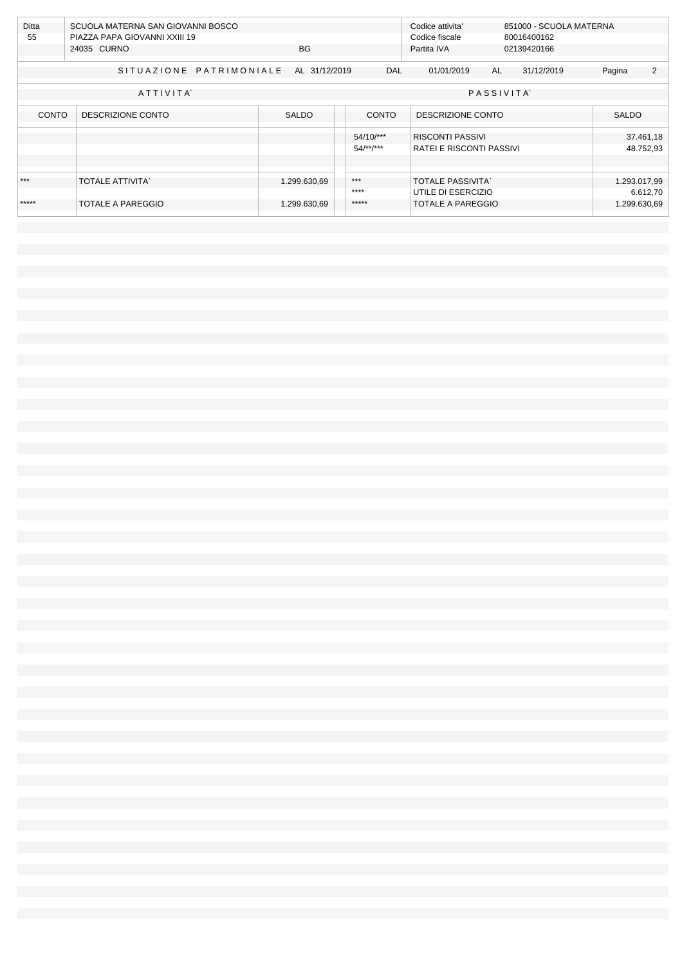| Ditta        | SCUOLA MATERNA SAN GIOVANNI BOSCO     |              |              | Codice attivita'         |                  | 851000 - SCUOLA MATERNA |              |  |
|--------------|---------------------------------------|--------------|--------------|--------------------------|------------------|-------------------------|--------------|--|
| 55           | PIAZZA PAPA GIOVANNI XXIII 19         |              |              | Codice fiscale           |                  | 80016400162             |              |  |
|              | 24035 CURNO                           | <b>BG</b>    |              | Partita IVA              |                  | 02139420166             |              |  |
|              |                                       |              |              |                          |                  |                         |              |  |
|              | SITUAZIONE PATRIMONIALE AL 31/12/2019 |              | <b>DAL</b>   | 01/01/2019               | AL               | 31/12/2019              | 2<br>Pagina  |  |
|              | ATTIVITA                              |              |              |                          | <b>PASSIVITA</b> |                         |              |  |
|              |                                       |              |              |                          |                  |                         |              |  |
| <b>CONTO</b> | DESCRIZIONE CONTO                     | <b>SALDO</b> | <b>CONTO</b> | DESCRIZIONE CONTO        |                  |                         | <b>SALDO</b> |  |
|              |                                       |              | 54/10/***    | <b>RISCONTI PASSIVI</b>  |                  |                         | 37.461,18    |  |
|              |                                       |              |              |                          |                  |                         |              |  |
|              |                                       |              | $54$ /**/*** | RATEI E RISCONTI PASSIVI |                  |                         | 48.752,93    |  |
|              |                                       |              |              |                          |                  |                         |              |  |
|              |                                       |              |              |                          |                  |                         |              |  |
| ***          | <b>TOTALE ATTIVITA'</b>               | 1.299.630,69 | $***$        | <b>TOTALE PASSIVITA</b>  |                  |                         | 1.293.017,99 |  |
|              |                                       |              | $***$        | UTILE DI ESERCIZIO       |                  |                         | 6.612,70     |  |
| *****        | TOTALE A PAREGGIO                     | 1.299.630,69 | *****        | TOTALE A PAREGGIO        |                  |                         | 1.299.630,69 |  |
|              |                                       |              |              |                          |                  |                         |              |  |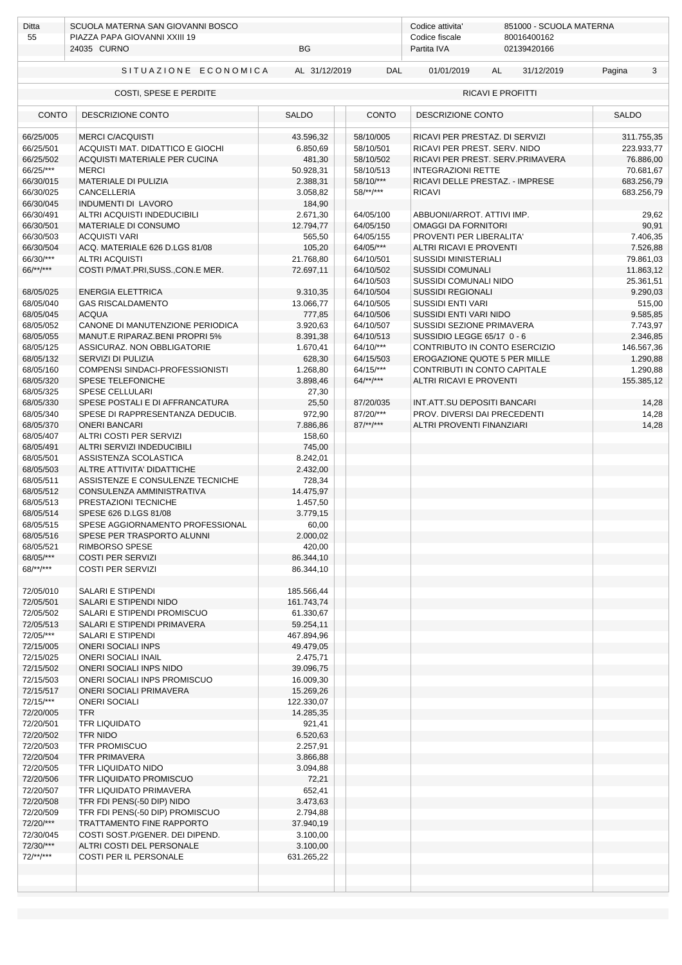| Ditta<br>55            | SCUOLA MATERNA SAN GIOVANNI BOSCO<br>PIAZZA PAPA GIOVANNI XXIII 19<br>24035 CURNO<br>BG |                          |                           | Codice attivita'<br>851000 - SCUOLA MATERNA<br>Codice fiscale<br>80016400162<br>Partita IVA<br>02139420166 |                         |  |  |  |
|------------------------|-----------------------------------------------------------------------------------------|--------------------------|---------------------------|------------------------------------------------------------------------------------------------------------|-------------------------|--|--|--|
|                        |                                                                                         |                          |                           |                                                                                                            |                         |  |  |  |
|                        | SITUAZIONE ECONOMICA                                                                    | AL 31/12/2019            | <b>DAL</b>                | 01/01/2019<br>AL<br>31/12/2019                                                                             | Pagina<br>3             |  |  |  |
|                        | COSTI, SPESE E PERDITE                                                                  |                          |                           | RICAVI E PROFITTI                                                                                          |                         |  |  |  |
| <b>CONTO</b>           | DESCRIZIONE CONTO                                                                       | <b>SALDO</b>             | <b>CONTO</b>              | DESCRIZIONE CONTO                                                                                          | <b>SALDO</b>            |  |  |  |
| 66/25/005              | <b>MERCI C/ACOUISTI</b>                                                                 | 43.596,32                | 58/10/005                 | RICAVI PER PRESTAZ. DI SERVIZI                                                                             | 311.755,35              |  |  |  |
| 66/25/501<br>66/25/502 | ACQUISTI MAT. DIDATTICO E GIOCHI<br>ACOUISTI MATERIALE PER CUCINA                       | 6.850,69<br>481,30       | 58/10/501<br>58/10/502    | RICAVI PER PREST. SERV. NIDO<br>RICAVI PER PREST. SERV.PRIMAVERA                                           | 223.933,77<br>76.886,00 |  |  |  |
| 66/25/***              | <b>MERCI</b>                                                                            | 50.928,31                | 58/10/513                 | <b>INTEGRAZIONI RETTE</b>                                                                                  | 70.681,67               |  |  |  |
| 66/30/015              | <b>MATERIALE DI PULIZIA</b>                                                             | 2.388,31                 | 58/10/***                 | RICAVI DELLE PRESTAZ. - IMPRESE                                                                            | 683.256,79              |  |  |  |
| 66/30/025              | <b>CANCELLERIA</b>                                                                      | 3.058,82                 | $58$ /**/***              | <b>RICAVI</b>                                                                                              | 683.256,79              |  |  |  |
| 66/30/045              | INDUMENTI DI LAVORO                                                                     | 184,90                   |                           |                                                                                                            |                         |  |  |  |
| 66/30/491              | ALTRI ACQUISTI INDEDUCIBILI                                                             | 2.671,30                 | 64/05/100                 | ABBUONI/ARROT. ATTIVI IMP.                                                                                 | 29,62<br>90,91          |  |  |  |
| 66/30/501<br>66/30/503 | MATERIALE DI CONSUMO<br><b>ACQUISTI VARI</b>                                            | 12.794,77<br>565,50      | 64/05/150<br>64/05/155    | <b>OMAGGI DA FORNITORI</b><br>PROVENTI PER LIBERALITA'                                                     | 7.406,35                |  |  |  |
| 66/30/504              | ACQ. MATERIALE 626 D.LGS 81/08                                                          | 105,20                   | 64/05/***                 | ALTRI RICAVI E PROVENTI                                                                                    | 7.526,88                |  |  |  |
| 66/30/***              | <b>ALTRI ACQUISTI</b>                                                                   | 21.768,80                | 64/10/501                 | <b>SUSSIDI MINISTERIALI</b>                                                                                | 79.861,03               |  |  |  |
| 66/**/***              | COSTI P/MAT.PRI, SUSS., CON.E MER.                                                      | 72.697,11                | 64/10/502                 | <b>SUSSIDI COMUNALI</b>                                                                                    | 11.863,12               |  |  |  |
|                        |                                                                                         |                          | 64/10/503                 | <b>SUSSIDI COMUNALI NIDO</b>                                                                               | 25.361,51               |  |  |  |
| 68/05/025              | <b>ENERGIA ELETTRICA</b>                                                                | 9.310,35                 | 64/10/504                 | <b>SUSSIDI REGIONALI</b>                                                                                   | 9.290,03                |  |  |  |
| 68/05/040              | <b>GAS RISCALDAMENTO</b>                                                                | 13.066,77                | 64/10/505                 | <b>SUSSIDI ENTI VARI</b>                                                                                   | 515,00                  |  |  |  |
| 68/05/045<br>68/05/052 | <b>ACQUA</b><br>CANONE DI MANUTENZIONE PERIODICA                                        | 777,85<br>3.920,63       | 64/10/506<br>64/10/507    | SUSSIDI ENTI VARI NIDO<br>SUSSIDI SEZIONE PRIMAVERA                                                        | 9.585,85<br>7.743,97    |  |  |  |
| 68/05/055              | MANUT.E RIPARAZ.BENI PROPRI 5%                                                          | 8.391,38                 | 64/10/513                 | SUSSIDIO LEGGE 65/17 0 - 6                                                                                 | 2.346,85                |  |  |  |
| 68/05/125              | <b>ASSICURAZ. NON OBBLIGATORIE</b>                                                      | 1.670,41                 | $64/10$ /***              | CONTRIBUTO IN CONTO ESERCIZIO                                                                              | 146.567,36              |  |  |  |
| 68/05/132              | SERVIZI DI PULIZIA                                                                      | 628,30                   | 64/15/503                 | EROGAZIONE QUOTE 5 PER MILLE                                                                               | 1.290,88                |  |  |  |
| 68/05/160              | COMPENSI SINDACI-PROFESSIONISTI                                                         | 1.268,80                 | 64/15/***                 | CONTRIBUTI IN CONTO CAPITALE                                                                               | 1.290,88                |  |  |  |
| 68/05/320              | <b>SPESE TELEFONICHE</b>                                                                | 3.898,46                 | $64$ /**/***              | <b>ALTRI RICAVI E PROVENTI</b>                                                                             | 155.385,12              |  |  |  |
| 68/05/325              | <b>SPESE CELLULARI</b>                                                                  | 27,30                    |                           |                                                                                                            |                         |  |  |  |
| 68/05/330              | SPESE POSTALI E DI AFFRANCATURA                                                         | 25,50                    | 87/20/035                 | INT.ATT.SU DEPOSITI BANCARI                                                                                | 14,28                   |  |  |  |
| 68/05/340<br>68/05/370 | SPESE DI RAPPRESENTANZA DEDUCIB.<br><b>ONERI BANCARI</b>                                | 972,90<br>7.886,86       | 87/20/***<br>$87$ /**/*** | PROV. DIVERSI DAI PRECEDENTI<br>ALTRI PROVENTI FINANZIARI                                                  | 14,28<br>14,28          |  |  |  |
| 68/05/407              | ALTRI COSTI PER SERVIZI                                                                 | 158,60                   |                           |                                                                                                            |                         |  |  |  |
| 68/05/491              | ALTRI SERVIZI INDEDUCIBILI                                                              | 745,00                   |                           |                                                                                                            |                         |  |  |  |
| 68/05/501              | ASSISTENZA SCOLASTICA                                                                   | 8.242,01                 |                           |                                                                                                            |                         |  |  |  |
| 68/05/503              | ALTRE ATTIVITA' DIDATTICHE                                                              | 2.432,00                 |                           |                                                                                                            |                         |  |  |  |
| 68/05/511              | ASSISTENZE E CONSULENZE TECNICHE                                                        | 728.34                   |                           |                                                                                                            |                         |  |  |  |
| 68/05/512              | CONSULENZA AMMINISTRATIVA                                                               | 14.475,97                |                           |                                                                                                            |                         |  |  |  |
| 68/05/513<br>68/05/514 | PRESTAZIONI TECNICHE<br>SPESE 626 D.LGS 81/08                                           | 1.457,50<br>3.779,15     |                           |                                                                                                            |                         |  |  |  |
| 68/05/515              | SPESE AGGIORNAMENTO PROFESSIONAL                                                        | 60,00                    |                           |                                                                                                            |                         |  |  |  |
| 68/05/516              | SPESE PER TRASPORTO ALUNNI                                                              | 2.000,02                 |                           |                                                                                                            |                         |  |  |  |
| 68/05/521              | RIMBORSO SPESE                                                                          | 420,00                   |                           |                                                                                                            |                         |  |  |  |
| 68/05/***              | <b>COSTI PER SERVIZI</b>                                                                | 86.344,10                |                           |                                                                                                            |                         |  |  |  |
| $68$ /**/***           | <b>COSTI PER SERVIZI</b>                                                                | 86.344,10                |                           |                                                                                                            |                         |  |  |  |
|                        |                                                                                         |                          |                           |                                                                                                            |                         |  |  |  |
| 72/05/010<br>72/05/501 | <b>SALARI E STIPENDI</b><br>SALARI E STIPENDI NIDO                                      | 185.566,44<br>161.743,74 |                           |                                                                                                            |                         |  |  |  |
| 72/05/502              | SALARI E STIPENDI PROMISCUO                                                             | 61.330,67                |                           |                                                                                                            |                         |  |  |  |
| 72/05/513              | SALARI E STIPENDI PRIMAVERA                                                             | 59.254,11                |                           |                                                                                                            |                         |  |  |  |
| 72/05/***              | SALARI E STIPENDI                                                                       | 467.894,96               |                           |                                                                                                            |                         |  |  |  |
| 72/15/005              | <b>ONERI SOCIALI INPS</b>                                                               | 49.479,05                |                           |                                                                                                            |                         |  |  |  |
| 72/15/025              | <b>ONERI SOCIALI INAIL</b>                                                              | 2.475,71                 |                           |                                                                                                            |                         |  |  |  |
| 72/15/502              | ONERI SOCIALI INPS NIDO                                                                 | 39.096,75                |                           |                                                                                                            |                         |  |  |  |
| 72/15/503              | ONERI SOCIALI INPS PROMISCUO                                                            | 16.009,30                |                           |                                                                                                            |                         |  |  |  |
| 72/15/517<br>72/15/*** | <b>ONERI SOCIALI PRIMAVERA</b><br><b>ONERI SOCIALI</b>                                  | 15.269,26<br>122.330,07  |                           |                                                                                                            |                         |  |  |  |
| 72/20/005              | <b>TFR</b>                                                                              | 14.285,35                |                           |                                                                                                            |                         |  |  |  |
| 72/20/501              | TFR LIQUIDATO                                                                           | 921,41                   |                           |                                                                                                            |                         |  |  |  |
| 72/20/502              | <b>TFR NIDO</b>                                                                         | 6.520,63                 |                           |                                                                                                            |                         |  |  |  |
| 72/20/503              | TFR PROMISCUO                                                                           | 2.257,91                 |                           |                                                                                                            |                         |  |  |  |
| 72/20/504              | <b>TFR PRIMAVERA</b>                                                                    | 3.866,88                 |                           |                                                                                                            |                         |  |  |  |
| 72/20/505<br>72/20/506 | TFR LIQUIDATO NIDO<br>TFR LIQUIDATO PROMISCUO                                           | 3.094,88                 |                           |                                                                                                            |                         |  |  |  |
| 72/20/507              | TFR LIQUIDATO PRIMAVERA                                                                 | 72,21<br>652,41          |                           |                                                                                                            |                         |  |  |  |
| 72/20/508              | TFR FDI PENS(-50 DIP) NIDO                                                              | 3.473,63                 |                           |                                                                                                            |                         |  |  |  |
| 72/20/509              | TFR FDI PENS(-50 DIP) PROMISCUO                                                         | 2.794,88                 |                           |                                                                                                            |                         |  |  |  |
| 72/20/***              | TRATTAMENTO FINE RAPPORTO                                                               | 37.940,19                |                           |                                                                                                            |                         |  |  |  |
| 72/30/045              | COSTI SOST.P/GENER. DEI DIPEND.                                                         | 3.100,00                 |                           |                                                                                                            |                         |  |  |  |
| 72/30/***              | ALTRI COSTI DEL PERSONALE                                                               | 3.100,00                 |                           |                                                                                                            |                         |  |  |  |
| $72$ /**/***           | COSTI PER IL PERSONALE                                                                  | 631.265,22               |                           |                                                                                                            |                         |  |  |  |
|                        |                                                                                         |                          |                           |                                                                                                            |                         |  |  |  |
|                        |                                                                                         |                          |                           |                                                                                                            |                         |  |  |  |